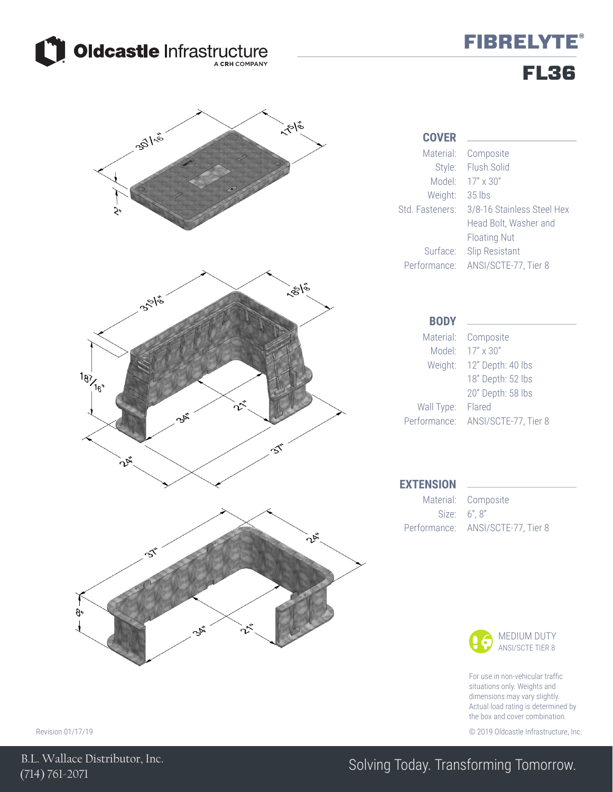

## **FIBRELYTE®** FL36



For use in non-vehicular traffic situations only. Weights and dimensions may vary slightly. Actual load rating is determined by the box and cover combination.

Revision 01/17/19 © 2019 Oldcastle Infrastructure, Inc.

### Solving Today. Transforming Tomorrow.